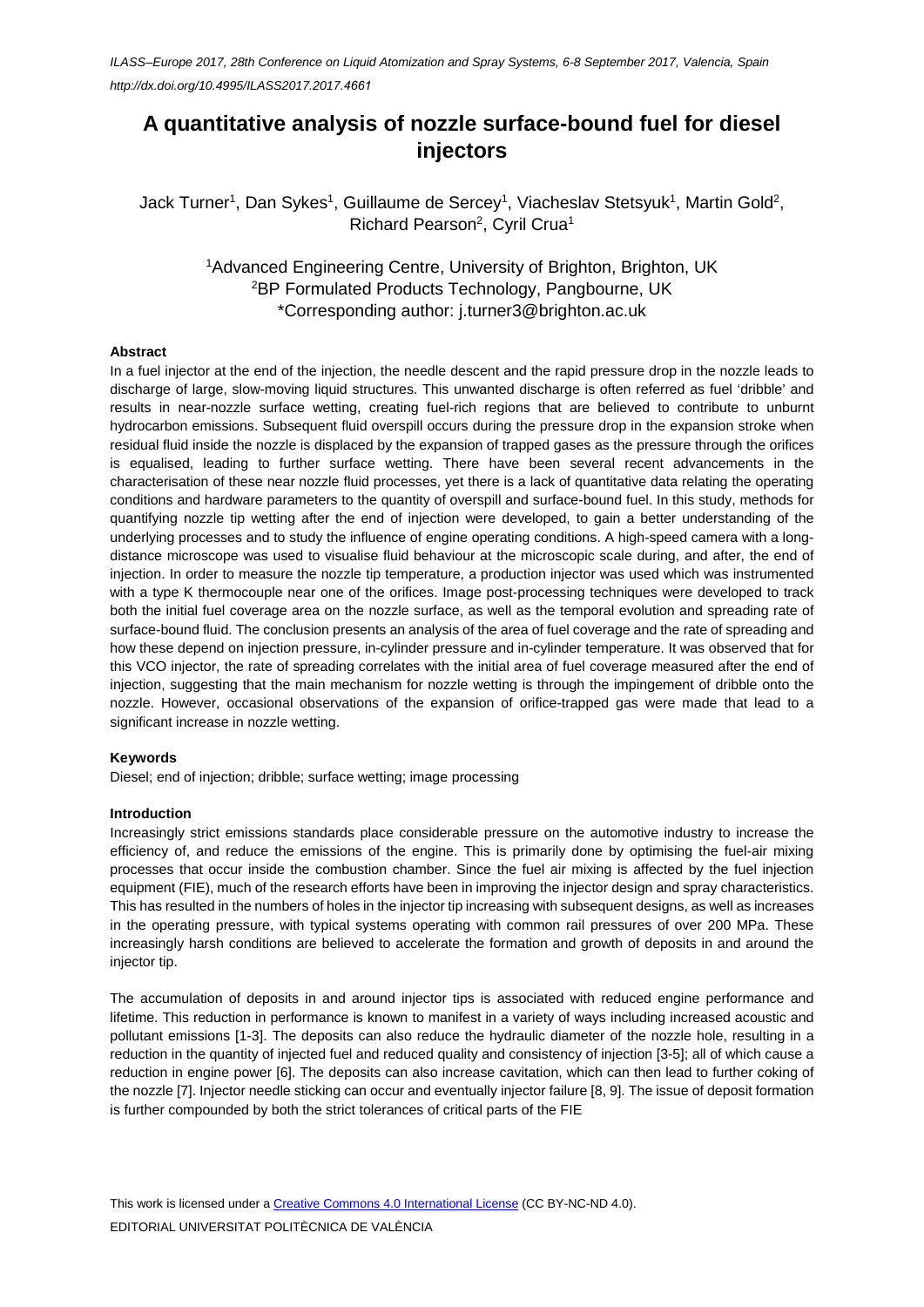*ILASS–Europe 2017, 28th Conference on Liquid Atomization and Spray Systems, 6-8 September 2017, Valencia, Spain [http://dx.doi.org/10.4995/ILASS2017.2017.](http://dx.doi.org/10.4995/ILASS2017.2017.4661)4661*

# **A quantitative analysis of nozzle surface-bound fuel for diesel injectors**

Jack Turner<sup>1</sup>, Dan Sykes<sup>1</sup>, Guillaume de Sercey<sup>1</sup>, Viacheslav Stetsyuk<sup>1</sup>, Martin Gold<sup>2</sup>, Richard Pearson<sup>2</sup>, Cyril Crua<sup>1</sup>

> 1 Advanced Engineering Centre, University of Brighton, Brighton, UK 2 BP Formulated Products Technology, Pangbourne, UK \*Corresponding author: j.turner3@brighton.ac.uk

#### **Abstract**

In a fuel injector at the end of the injection, the needle descent and the rapid pressure drop in the nozzle leads to discharge of large, slow-moving liquid structures. This unwanted discharge is often referred as fuel 'dribble' and results in near-nozzle surface wetting, creating fuel-rich regions that are believed to contribute to unburnt hydrocarbon emissions. Subsequent fluid overspill occurs during the pressure drop in the expansion stroke when residual fluid inside the nozzle is displaced by the expansion of trapped gases as the pressure through the orifices is equalised, leading to further surface wetting. There have been several recent advancements in the characterisation of these near nozzle fluid processes, yet there is a lack of quantitative data relating the operating conditions and hardware parameters to the quantity of overspill and surface-bound fuel. In this study, methods for quantifying nozzle tip wetting after the end of injection were developed, to gain a better understanding of the underlying processes and to study the influence of engine operating conditions. A high-speed camera with a longdistance microscope was used to visualise fluid behaviour at the microscopic scale during, and after, the end of injection. In order to measure the nozzle tip temperature, a production injector was used which was instrumented with a type K thermocouple near one of the orifices. Image post-processing techniques were developed to track both the initial fuel coverage area on the nozzle surface, as well as the temporal evolution and spreading rate of surface-bound fluid. The conclusion presents an analysis of the area of fuel coverage and the rate of spreading and how these depend on injection pressure, in-cylinder pressure and in-cylinder temperature. It was observed that for this VCO injector, the rate of spreading correlates with the initial area of fuel coverage measured after the end of injection, suggesting that the main mechanism for nozzle wetting is through the impingement of dribble onto the nozzle. However, occasional observations of the expansion of orifice-trapped gas were made that lead to a significant increase in nozzle wetting.

#### **Keywords**

Diesel; end of injection; dribble; surface wetting; image processing

#### **Introduction**

Increasingly strict emissions standards place considerable pressure on the automotive industry to increase the efficiency of, and reduce the emissions of the engine. This is primarily done by optimising the fuel-air mixing processes that occur inside the combustion chamber. Since the fuel air mixing is affected by the fuel injection equipment (FIE), much of the research efforts have been in improving the injector design and spray characteristics. This has resulted in the numbers of holes in the injector tip increasing with subsequent designs, as well as increases in the operating pressure, with typical systems operating with common rail pressures of over 200 MPa. These increasingly harsh conditions are believed to accelerate the formation and growth of deposits in and around the injector tip.

The accumulation of deposits in and around injector tips is associated with reduced engine performance and lifetime. This reduction in performance is known to manifest in a variety of ways including increased acoustic and pollutant emissions [1-3]. The deposits can also reduce the hydraulic diameter of the nozzle hole, resulting in a reduction in the quantity of injected fuel and reduced quality and consistency of injection [3-5]; all of which cause a reduction in engine power [6]. The deposits can also increase cavitation, which can then lead to further coking of the nozzle [7]. Injector needle sticking can occur and eventually injector failure [8, 9]. The issue of deposit formation is further compounded by both the strict tolerances of critical parts of the FIE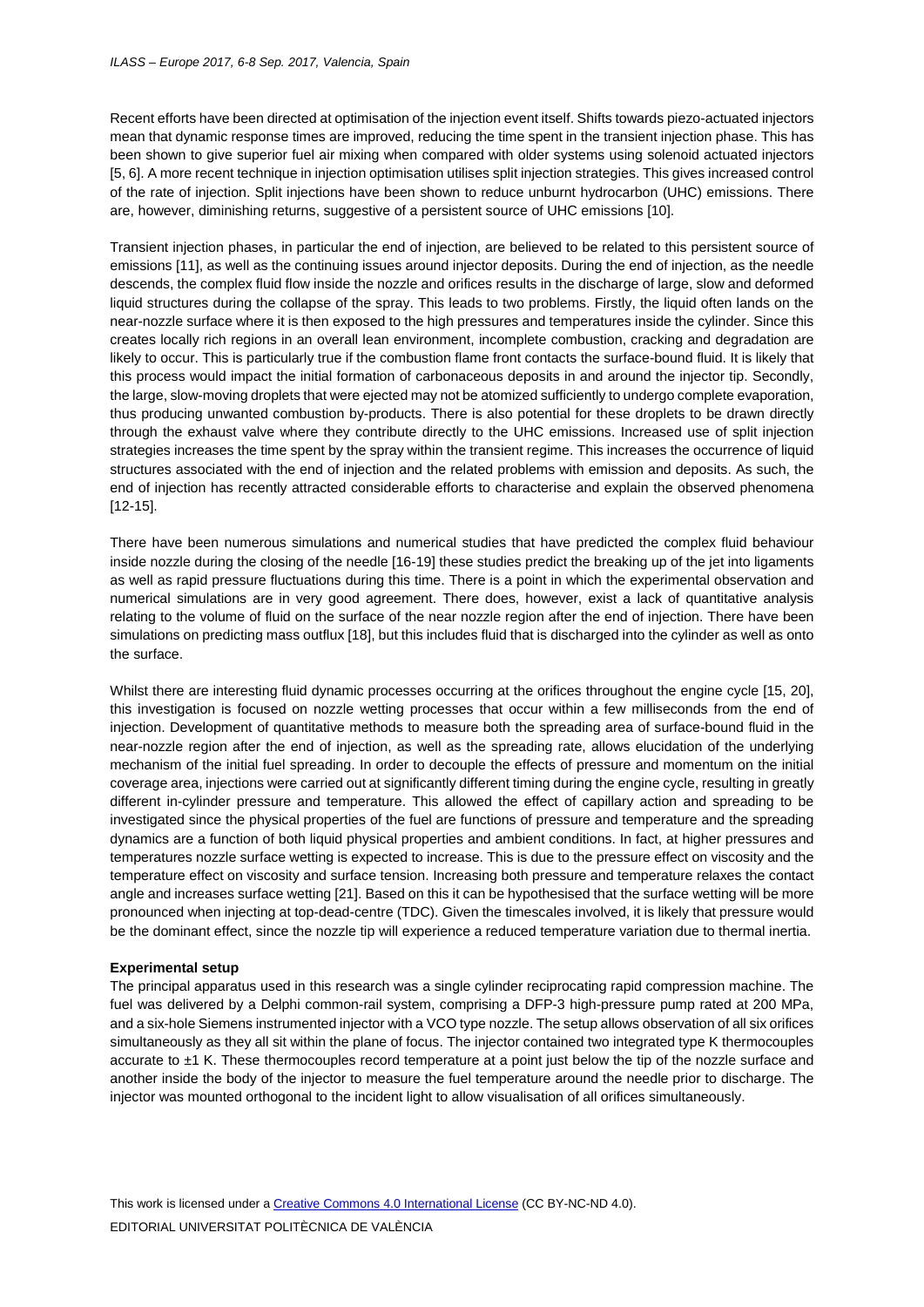Recent efforts have been directed at optimisation of the injection event itself. Shifts towards piezo-actuated injectors mean that dynamic response times are improved, reducing the time spent in the transient injection phase. This has been shown to give superior fuel air mixing when compared with older systems using solenoid actuated injectors [5, 6]. A more recent technique in injection optimisation utilises split injection strategies. This gives increased control of the rate of injection. Split injections have been shown to reduce unburnt hydrocarbon (UHC) emissions. There are, however, diminishing returns, suggestive of a persistent source of UHC emissions [10].

Transient injection phases, in particular the end of injection, are believed to be related to this persistent source of emissions [11], as well as the continuing issues around injector deposits. During the end of injection, as the needle descends, the complex fluid flow inside the nozzle and orifices results in the discharge of large, slow and deformed liquid structures during the collapse of the spray. This leads to two problems. Firstly, the liquid often lands on the near-nozzle surface where it is then exposed to the high pressures and temperatures inside the cylinder. Since this creates locally rich regions in an overall lean environment, incomplete combustion, cracking and degradation are likely to occur. This is particularly true if the combustion flame front contacts the surface-bound fluid. It is likely that this process would impact the initial formation of carbonaceous deposits in and around the injector tip. Secondly, the large, slow-moving droplets that were ejected may not be atomized sufficiently to undergo complete evaporation, thus producing unwanted combustion by-products. There is also potential for these droplets to be drawn directly through the exhaust valve where they contribute directly to the UHC emissions. Increased use of split injection strategies increases the time spent by the spray within the transient regime. This increases the occurrence of liquid structures associated with the end of injection and the related problems with emission and deposits. As such, the end of injection has recently attracted considerable efforts to characterise and explain the observed phenomena [12-15].

There have been numerous simulations and numerical studies that have predicted the complex fluid behaviour inside nozzle during the closing of the needle [16-19] these studies predict the breaking up of the jet into ligaments as well as rapid pressure fluctuations during this time. There is a point in which the experimental observation and numerical simulations are in very good agreement. There does, however, exist a lack of quantitative analysis relating to the volume of fluid on the surface of the near nozzle region after the end of injection. There have been simulations on predicting mass outflux [18], but this includes fluid that is discharged into the cylinder as well as onto the surface.

Whilst there are interesting fluid dynamic processes occurring at the orifices throughout the engine cycle [15, 20], this investigation is focused on nozzle wetting processes that occur within a few milliseconds from the end of injection. Development of quantitative methods to measure both the spreading area of surface-bound fluid in the near-nozzle region after the end of injection, as well as the spreading rate, allows elucidation of the underlying mechanism of the initial fuel spreading. In order to decouple the effects of pressure and momentum on the initial coverage area, injections were carried out at significantly different timing during the engine cycle, resulting in greatly different in-cylinder pressure and temperature. This allowed the effect of capillary action and spreading to be investigated since the physical properties of the fuel are functions of pressure and temperature and the spreading dynamics are a function of both liquid physical properties and ambient conditions. In fact, at higher pressures and temperatures nozzle surface wetting is expected to increase. This is due to the pressure effect on viscosity and the temperature effect on viscosity and surface tension. Increasing both pressure and temperature relaxes the contact angle and increases surface wetting [21]. Based on this it can be hypothesised that the surface wetting will be more pronounced when injecting at top-dead-centre (TDC). Given the timescales involved, it is likely that pressure would be the dominant effect, since the nozzle tip will experience a reduced temperature variation due to thermal inertia.

#### **Experimental setup**

The principal apparatus used in this research was a single cylinder reciprocating rapid compression machine. The fuel was delivered by a Delphi common-rail system, comprising a DFP-3 high-pressure pump rated at 200 MPa, and a six-hole Siemens instrumented injector with a VCO type nozzle. The setup allows observation of all six orifices simultaneously as they all sit within the plane of focus. The injector contained two integrated type K thermocouples accurate to ±1 K. These thermocouples record temperature at a point just below the tip of the nozzle surface and another inside the body of the injector to measure the fuel temperature around the needle prior to discharge. The injector was mounted orthogonal to the incident light to allow visualisation of all orifices simultaneously.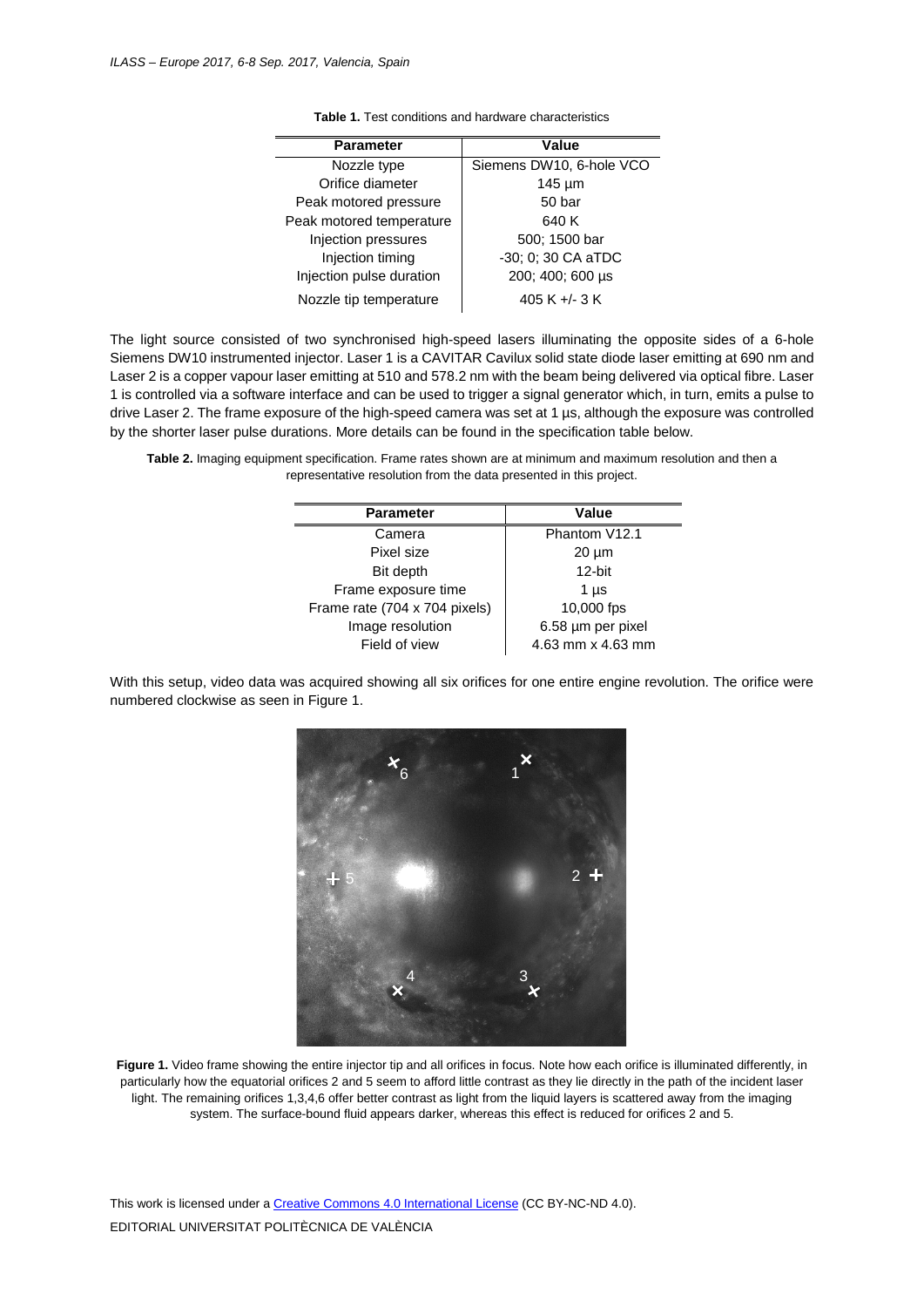| <b>Parameter</b>         | Value                    |
|--------------------------|--------------------------|
| Nozzle type              | Siemens DW10, 6-hole VCO |
| Orifice diameter         | $145 \mu m$              |
| Peak motored pressure    | 50 bar                   |
| Peak motored temperature | 640 K                    |
| Injection pressures      | 500; 1500 bar            |
| Injection timing         | -30; 0; 30 CA aTDC       |
| Injection pulse duration | 200; 400; 600 µs         |
| Nozzle tip temperature   | 405 K +/- 3 K            |

**Table 1.** Test conditions and hardware characteristics

The light source consisted of two synchronised high-speed lasers illuminating the opposite sides of a 6-hole Siemens DW10 instrumented injector. Laser 1 is a CAVITAR Cavilux solid state diode laser emitting at 690 nm and Laser 2 is a copper vapour laser emitting at 510 and 578.2 nm with the beam being delivered via optical fibre. Laser 1 is controlled via a software interface and can be used to trigger a signal generator which, in turn, emits a pulse to drive Laser 2. The frame exposure of the high-speed camera was set at 1 µs, although the exposure was controlled by the shorter laser pulse durations. More details can be found in the specification table below.

**Table 2.** Imaging equipment specification. Frame rates shown are at minimum and maximum resolution and then a representative resolution from the data presented in this project.

| <b>Parameter</b>              | Value             |
|-------------------------------|-------------------|
|                               |                   |
| Camera                        | Phantom V12.1     |
| Pixel size                    | $20 \mu m$        |
| Bit depth                     | $12$ -bit         |
| Frame exposure time           | 1 µs              |
| Frame rate (704 x 704 pixels) | 10,000 fps        |
| Image resolution              | 6.58 µm per pixel |
| Field of view                 | 4.63 mm x 4.63 mm |

With this setup, video data was acquired showing all six orifices for one entire engine revolution. The orifice were numbered clockwise as seen i[n Figure 1.](#page-2-0)



<span id="page-2-0"></span>**Figure 1.** Video frame showing the entire injector tip and all orifices in focus. Note how each orifice is illuminated differently, in particularly how the equatorial orifices 2 and 5 seem to afford little contrast as they lie directly in the path of the incident laser light. The remaining orifices 1,3,4,6 offer better contrast as light from the liquid layers is scattered away from the imaging system. The surface-bound fluid appears darker, whereas this effect is reduced for orifices 2 and 5.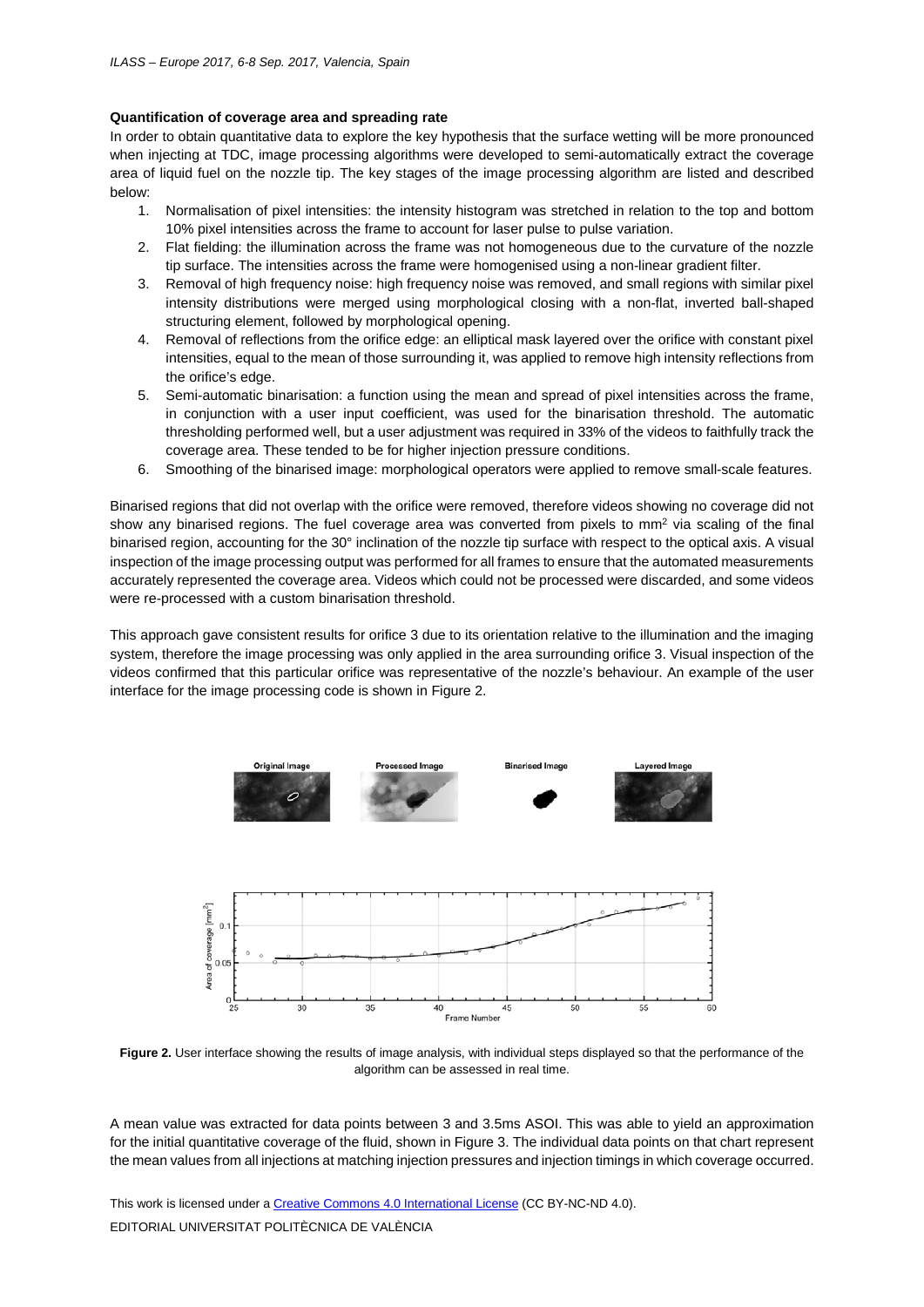### **Quantification of coverage area and spreading rate**

In order to obtain quantitative data to explore the key hypothesis that the surface wetting will be more pronounced when injecting at TDC, image processing algorithms were developed to semi-automatically extract the coverage area of liquid fuel on the nozzle tip. The key stages of the image processing algorithm are listed and described below:

- 1. Normalisation of pixel intensities: the intensity histogram was stretched in relation to the top and bottom 10% pixel intensities across the frame to account for laser pulse to pulse variation.
- 2. Flat fielding: the illumination across the frame was not homogeneous due to the curvature of the nozzle tip surface. The intensities across the frame were homogenised using a non-linear gradient filter.
- 3. Removal of high frequency noise: high frequency noise was removed, and small regions with similar pixel intensity distributions were merged using morphological closing with a non-flat, inverted ball-shaped structuring element, followed by morphological opening.
- 4. Removal of reflections from the orifice edge: an elliptical mask layered over the orifice with constant pixel intensities, equal to the mean of those surrounding it, was applied to remove high intensity reflections from the orifice's edge.
- 5. Semi-automatic binarisation: a function using the mean and spread of pixel intensities across the frame, in conjunction with a user input coefficient, was used for the binarisation threshold. The automatic thresholding performed well, but a user adjustment was required in 33% of the videos to faithfully track the coverage area. These tended to be for higher injection pressure conditions.
- 6. Smoothing of the binarised image: morphological operators were applied to remove small-scale features.

Binarised regions that did not overlap with the orifice were removed, therefore videos showing no coverage did not show any binarised regions. The fuel coverage area was converted from pixels to mm<sup>2</sup> via scaling of the final binarised region, accounting for the 30° inclination of the nozzle tip surface with respect to the optical axis. A visual inspection of the image processing output was performed for all frames to ensure that the automated measurements accurately represented the coverage area. Videos which could not be processed were discarded, and some videos were re-processed with a custom binarisation threshold.

This approach gave consistent results for orifice 3 due to its orientation relative to the illumination and the imaging system, therefore the image processing was only applied in the area surrounding orifice 3. Visual inspection of the videos confirmed that this particular orifice was representative of the nozzle's behaviour. An example of the user interface for the image processing code is shown in [Figure 2.](#page-3-0)





<span id="page-3-0"></span>**Figure 2.** User interface showing the results of image analysis, with individual steps displayed so that the performance of the algorithm can be assessed in real time.

A mean value was extracted for data points between 3 and 3.5ms ASOI. This was able to yield an approximation for the initial quantitative coverage of the fluid, shown in [Figure 3.](#page-4-0) The individual data points on that chart represent the mean values from all injections at matching injection pressures and injection timings in which coverage occurred.

This work is licensed under [a Creative Commons 4.0 International License](http://creativecommons.org/licenses/by-nc-nd/4.0/) (CC BY-NC-ND 4.0). EDITORIAL UNIVERSITAT POLITÈCNICA DE VALÈNCIA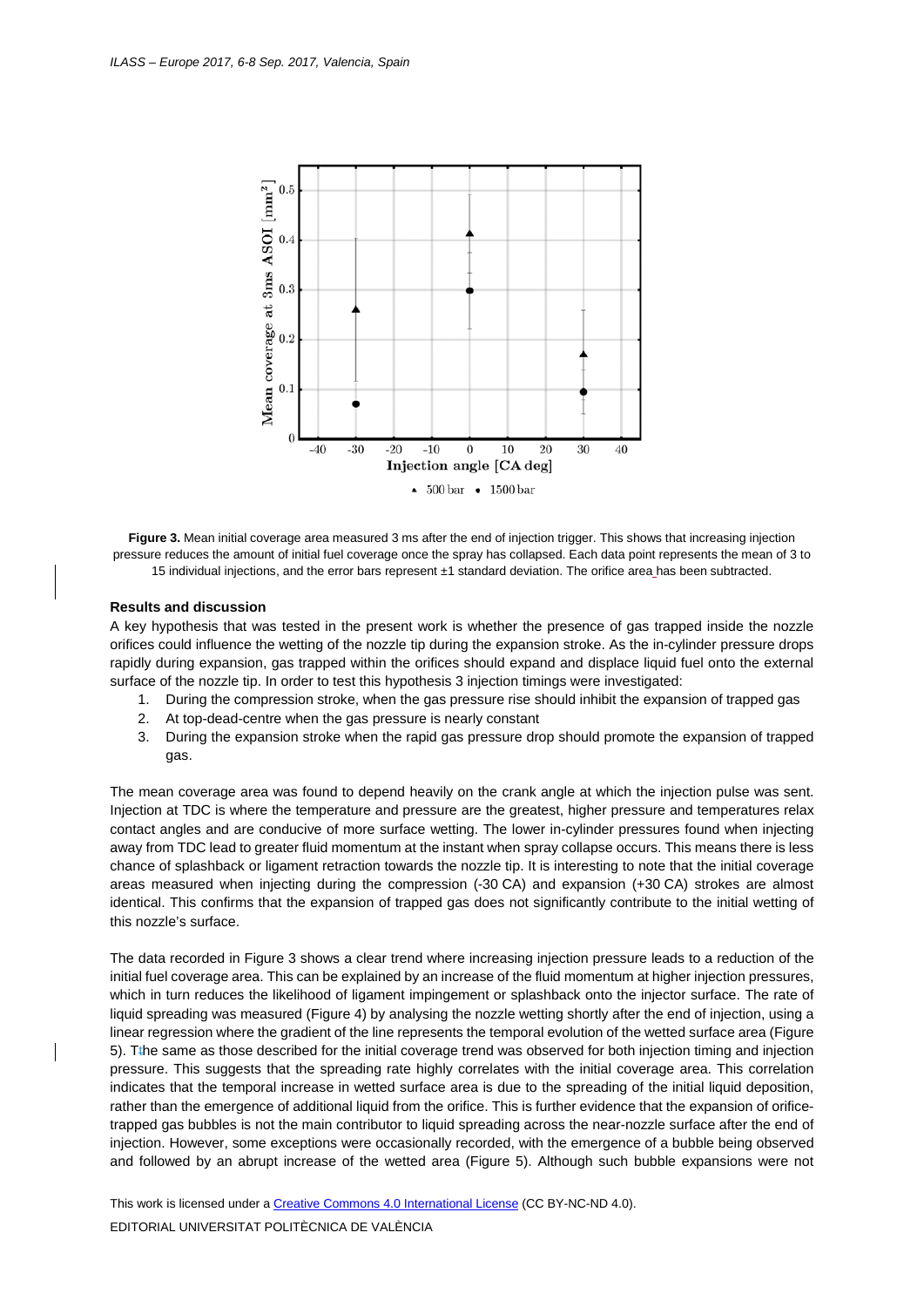

<span id="page-4-0"></span>**Figure 3.** Mean initial coverage area measured 3 ms after the end of injection trigger. This shows that increasing injection pressure reduces the amount of initial fuel coverage once the spray has collapsed. Each data point represents the mean of 3 to 15 individual injections, and the error bars represent ±1 standard deviation. The orifice area has been subtracted.

### **Results and discussion**

A key hypothesis that was tested in the present work is whether the presence of gas trapped inside the nozzle orifices could influence the wetting of the nozzle tip during the expansion stroke. As the in-cylinder pressure drops rapidly during expansion, gas trapped within the orifices should expand and displace liquid fuel onto the external surface of the nozzle tip. In order to test this hypothesis 3 injection timings were investigated:

- 1. During the compression stroke, when the gas pressure rise should inhibit the expansion of trapped gas
- 2. At top-dead-centre when the gas pressure is nearly constant
- 3. During the expansion stroke when the rapid gas pressure drop should promote the expansion of trapped gas.

The mean coverage area was found to depend heavily on the crank angle at which the injection pulse was sent. Injection at TDC is where the temperature and pressure are the greatest, higher pressure and temperatures relax contact angles and are conducive of more surface wetting. The lower in-cylinder pressures found when injecting away from TDC lead to greater fluid momentum at the instant when spray collapse occurs. This means there is less chance of splashback or ligament retraction towards the nozzle tip. It is interesting to note that the initial coverage areas measured when injecting during the compression (-30 CA) and expansion (+30 CA) strokes are almost identical. This confirms that the expansion of trapped gas does not significantly contribute to the initial wetting of this nozzle's surface.

The data recorded in [Figure 3](#page-4-0) shows a clear trend where increasing injection pressure leads to a reduction of the initial fuel coverage area. This can be explained by an increase of the fluid momentum at higher injection pressures, which in turn reduces the likelihood of ligament impingement or splashback onto the injector surface. The rate of liquid spreading was measured [\(Figure 4\)](#page-5-0) by analysing the nozzle wetting shortly after the end of injection, using a linear regression where the gradient of the line represents the temporal evolution of the wetted surface area [\(Figure](#page-6-0)  [5\)](#page-6-0). Tthe same as those described for the initial coverage trend was observed for both injection timing and injection pressure. This suggests that the spreading rate highly correlates with the initial coverage area. This correlation indicates that the temporal increase in wetted surface area is due to the spreading of the initial liquid deposition, rather than the emergence of additional liquid from the orifice. This is further evidence that the expansion of orificetrapped gas bubbles is not the main contributor to liquid spreading across the near-nozzle surface after the end of injection. However, some exceptions were occasionally recorded, with the emergence of a bubble being observed and followed by an abrupt increase of the wetted area [\(Figure 5\)](#page-6-0). Although such bubble expansions were not

This work is licensed under [a Creative Commons 4.0 International License](http://creativecommons.org/licenses/by-nc-nd/4.0/) (CC BY-NC-ND 4.0). EDITORIAL UNIVERSITAT POLITÈCNICA DE VALÈNCIA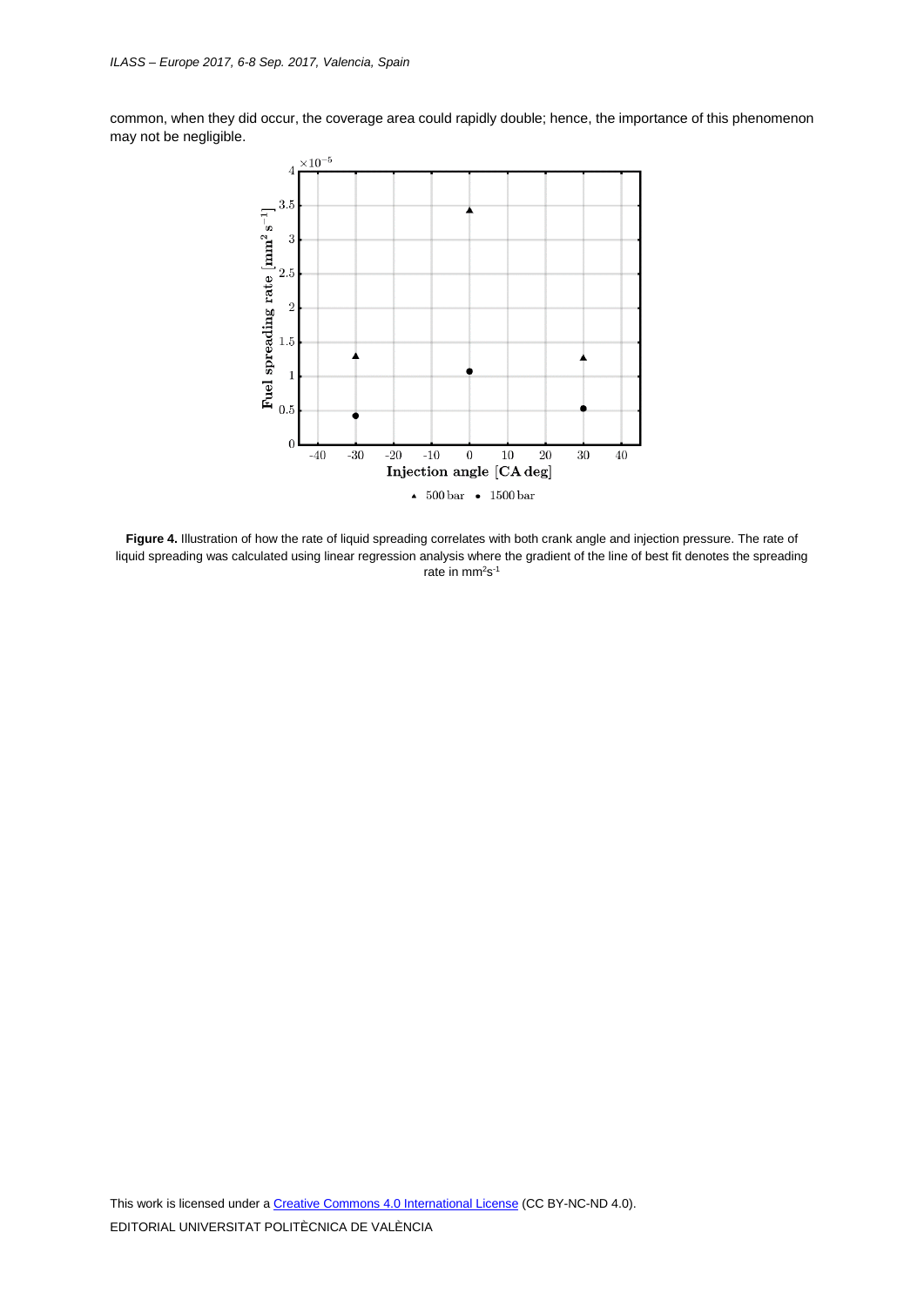common, when they did occur, the coverage area could rapidly double; hence, the importance of this phenomenon may not be negligible.



<span id="page-5-0"></span>**Figure 4.** Illustration of how the rate of liquid spreading correlates with both crank angle and injection pressure. The rate of liquid spreading was calculated using linear regression analysis where the gradient of the line of best fit denotes the spreading rate in mm<sup>2</sup>s<sup>-1</sup>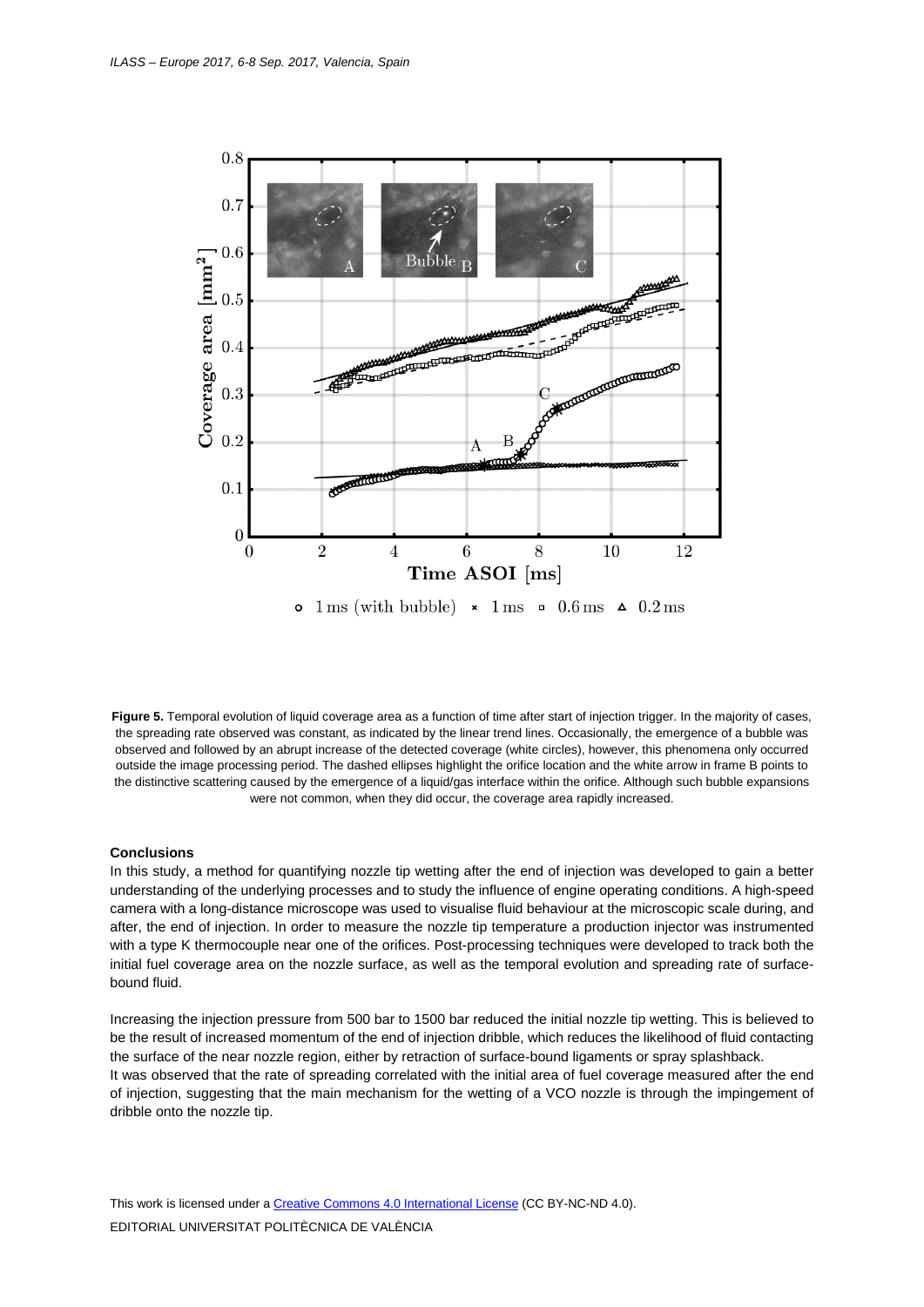<span id="page-6-0"></span>

**Figure 5.** Temporal evolution of liquid coverage area as a function of time after start of injection trigger. In the majority of cases, the spreading rate observed was constant, as indicated by the linear trend lines. Occasionally, the emergence of a bubble was observed and followed by an abrupt increase of the detected coverage (white circles), however, this phenomena only occurred outside the image processing period. The dashed ellipses highlight the orifice location and the white arrow in frame B points to the distinctive scattering caused by the emergence of a liquid/gas interface within the orifice. Although such bubble expansions were not common, when they did occur, the coverage area rapidly increased.

#### **Conclusions**

In this study, a method for quantifying nozzle tip wetting after the end of injection was developed to gain a better understanding of the underlying processes and to study the influence of engine operating conditions. A high-speed camera with a long-distance microscope was used to visualise fluid behaviour at the microscopic scale during, and after, the end of injection. In order to measure the nozzle tip temperature a production injector was instrumented with a type K thermocouple near one of the orifices. Post-processing techniques were developed to track both the initial fuel coverage area on the nozzle surface, as well as the temporal evolution and spreading rate of surfacebound fluid.

Increasing the injection pressure from 500 bar to 1500 bar reduced the initial nozzle tip wetting. This is believed to be the result of increased momentum of the end of injection dribble, which reduces the likelihood of fluid contacting the surface of the near nozzle region, either by retraction of surface-bound ligaments or spray splashback. It was observed that the rate of spreading correlated with the initial area of fuel coverage measured after the end of injection, suggesting that the main mechanism for the wetting of a VCO nozzle is through the impingement of dribble onto the nozzle tip.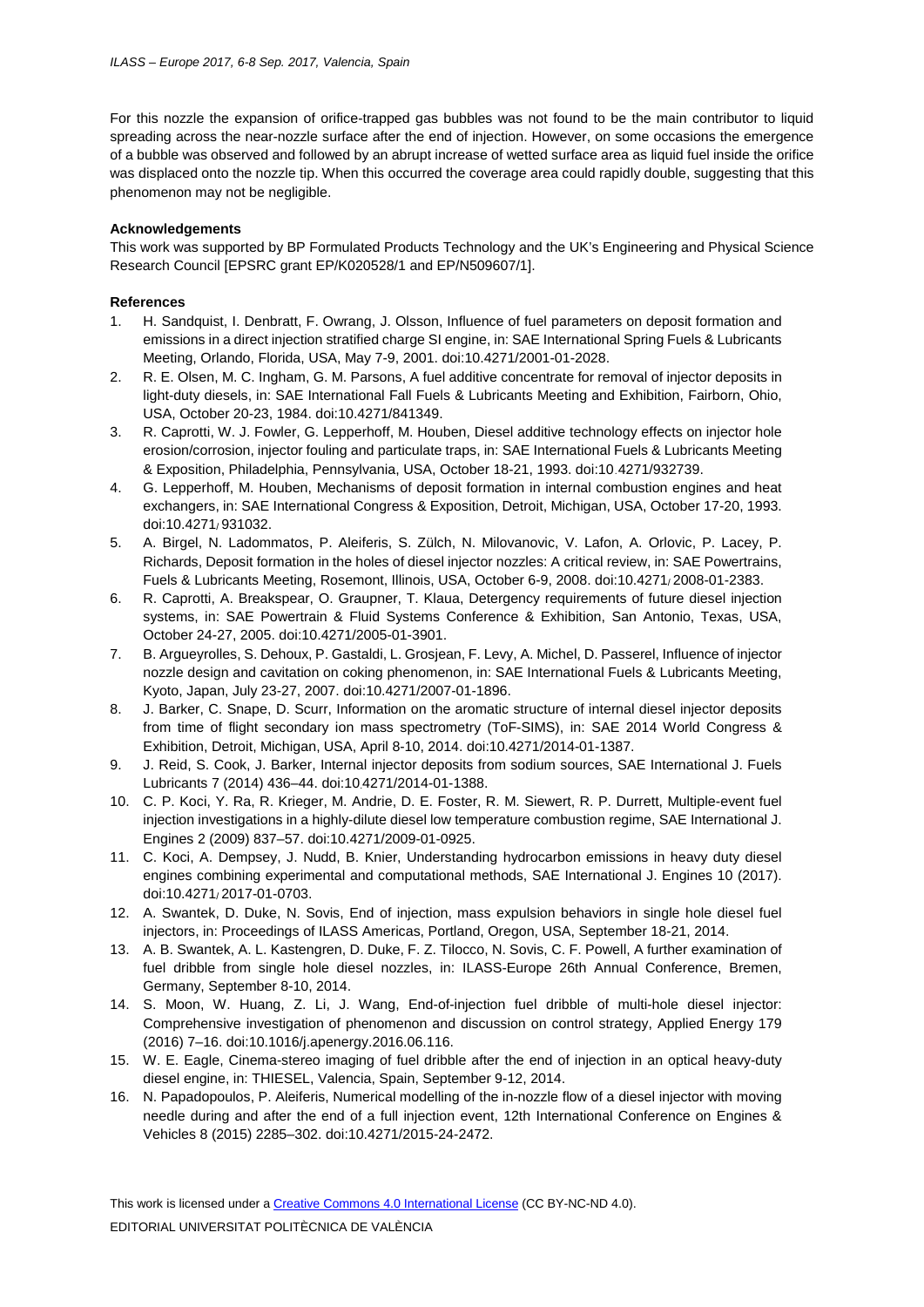For this nozzle the expansion of orifice-trapped gas bubbles was not found to be the main contributor to liquid spreading across the near-nozzle surface after the end of injection. However, on some occasions the emergence of a bubble was observed and followed by an abrupt increase of wetted surface area as liquid fuel inside the orifice was displaced onto the nozzle tip. When this occurred the coverage area could rapidly double, suggesting that this phenomenon may not be negligible.

# **Acknowledgements**

This work was supported by BP Formulated Products Technology and the UK's Engineering and Physical Science Research Council [EPSRC grant EP/K020528/1 and EP/N509607/1].

## **References**

- 1. H. Sandquist, I. Denbratt, F. Owrang, J. Olsson, Influence of fuel parameters on deposit formation and emissions in a direct injection stratified charge SI engine, in: SAE International Spring Fuels & Lubricants Meeting, Orlando, Florida, USA, May 7-9, 2001. doi[:10.4271/2001-01-2028.](http://dx.doi.org/10.4271/2001-01-2028)
- 2. R. E. Olsen, M. C. Ingham, G. M. Parsons, A fuel additive concentrate for removal of injector deposits in light-duty diesels, in: SAE International Fall Fuels & Lubricants Meeting and Exhibition, Fairborn, Ohio, USA, October 20-23, 1984. doi[:10.4271/841349.](http://dx.doi.org/10.4271/841349)
- 3. R. Caprotti, W. J. Fowler, G. Lepperhoff, M. Houben, Diesel additive technology effects on injector hole erosion/corrosion, injector fouling and particulate traps, in: SAE International Fuels & Lubricants Meeting & Exposition, Philadelphia, Pennsylvania, USA, October 18-21, 1993. do[i:10.4271/932739.](http://dx.doi.org/10.4271/932739)
- 4. G. Lepperhoff, M. Houben, Mechanisms of deposit formation in internal combustion engines and heat exchangers, in: SAE International Congress & Exposition, Detroit, Michigan, USA, October 17-20, 1993. do[i:10.4271/ 931032.](http://dx.doi.org/10.4271/931032)
- 5. A. Birgel, N. Ladommatos, P. Aleiferis, S. Zülch, N. Milovanovic, V. Lafon, A. Orlovic, P. Lacey, P. Richards, Deposit formation in the holes of diesel injector nozzles: A critical review, in: SAE Powertrains, Fuels & Lubricants Meeting, Rosemont, Illinois, USA, October 6-9, 2008. doi[:10.4271/ 2008-01-2383.](http://dx.doi.org/10.4271/2008-01-2383)
- 6. R. Caprotti, A. Breakspear, O. Graupner, T. Klaua, Detergency requirements of future diesel injection systems, in: SAE Powertrain & Fluid Systems Conference & Exhibition, San Antonio, Texas, USA, October 24-27, 2005. doi[:10.4271/2005-01-3901.](http://dx.doi.org/10.4271/2005-01-3901)
- 7. B. Argueyrolles, S. Dehoux, P. Gastaldi, L. Grosjean, F. Levy, A. Michel, D. Passerel, Influence of injector nozzle design and cavitation on coking phenomenon, in: SAE International Fuels & Lubricants Meeting, Kyoto, Japan, July 23-27, 2007. doi[:10.4271/2007-01-1896.](http://dx.doi.org/10.4271/2007-01-1896)
- 8. J. Barker, C. Snape, D. Scurr, Information on the aromatic structure of internal diesel injector deposits from time of flight secondary ion mass spectrometry (ToF-SIMS), in: SAE 2014 World Congress & Exhibition, Detroit, Michigan, USA, April 8-10, 2014. doi[:10.4271/2014-01-1387.](http://dx.doi.org/10.4271/2014-01-1387)
- 9. J. Reid, S. Cook, J. Barker, Internal injector deposits from sodium sources, SAE International J. Fuels Lubricants 7 (2014) 436–44. doi[:10.4271/2014-01-1388.](http://dx.doi.org/10.4271/2014-01-1388)
- 10. C. P. Koci, Y. Ra, R. Krieger, M. Andrie, D. E. Foster, R. M. Siewert, R. P. Durrett, Multiple-event fuel injection investigations in a highly-dilute diesel low temperature combustion regime, SAE International J. Engines 2 (2009) 837–57. doi[:10.4271/2009-01-0925.](http://dx.doi.org/10.4271/2009-01-0925)
- 11. C. Koci, A. Dempsey, J. Nudd, B. Knier, Understanding hydrocarbon emissions in heavy duty diesel engines combining experimental and computational methods, SAE International J. Engines 10 (2017). do[i:10.4271/ 2017-01-0703.](http://dx.doi.org/10.4271/2017-01-0703)
- 12. A. Swantek, D. Duke, N. Sovis, End of injection, mass expulsion behaviors in single hole diesel fuel injectors, in: Proceedings of ILASS Americas, Portland, Oregon, USA, September 18-21, 2014.
- 13. A. B. Swantek, A. L. Kastengren, D. Duke, F. Z. Tilocco, N. Sovis, C. F. Powell, A further examination of fuel dribble from single hole diesel nozzles, in: ILASS-Europe 26th Annual Conference, Bremen, Germany, September 8-10, 2014.
- 14. S. Moon, W. Huang, Z. Li, J. Wang, End-of-injection fuel dribble of multi-hole diesel injector: Comprehensive investigation of phenomenon and discussion on control strategy, Applied Energy 179 (2016) 7–16. doi[:10.1016/j.apenergy.2016.06.116.](http://dx.doi.org/10.1016/j.apenergy.2016.06.116)
- 15. W. E. Eagle, Cinema-stereo imaging of fuel dribble after the end of injection in an optical heavy-duty diesel engine, in: THIESEL, Valencia, Spain, September 9-12, 2014.
- 16. N. Papadopoulos, P. Aleiferis, Numerical modelling of the in-nozzle flow of a diesel injector with moving needle during and after the end of a full injection event, 12th International Conference on Engines & Vehicles 8 (2015) 2285–302. doi[:10.4271/2015-24-2472.](http://dx.doi.org/10.4271/2015-24-2472)

This work is licensed under [a Creative Commons 4.0 International License](http://creativecommons.org/licenses/by-nc-nd/4.0/) (CC BY-NC-ND 4.0).